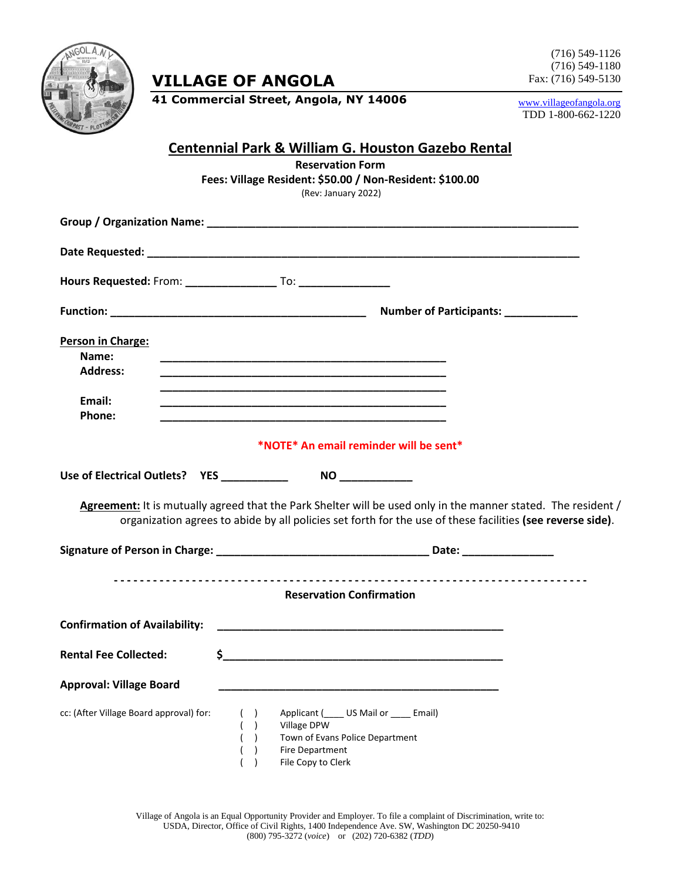

**VILLAGE OF ANGOLA**

(716) 549-1126 (716) 549-1180 Fax: (716) 549-5130

**41 Commercial Street, Angola, NY 14006**

[www.villageofangola.org](http://www.villageofangola.org/) TDD 1-800-662-1220

## **Centennial Park & William G. Houston Gazebo Rental**

**Reservation Form Fees: Village Resident: \$50.00 / Non-Resident: \$100.00**

(Rev: January 2022)

| Person in Charge:<br>Name:<br><b>Address:</b><br>Email:<br>Phone: |                                             | <u> 1990 - Johann John Stoff, deutscher Stoffen und der Stoffen und der Stoffen und der Stoffen und der Stoffen</u>             |                                                                                                                                                                                                                             |
|-------------------------------------------------------------------|---------------------------------------------|---------------------------------------------------------------------------------------------------------------------------------|-----------------------------------------------------------------------------------------------------------------------------------------------------------------------------------------------------------------------------|
| *NOTE* An email reminder will be sent*                            |                                             |                                                                                                                                 |                                                                                                                                                                                                                             |
|                                                                   | Use of Electrical Outlets?  YES ___________ | NO                                                                                                                              |                                                                                                                                                                                                                             |
|                                                                   |                                             |                                                                                                                                 | Agreement: It is mutually agreed that the Park Shelter will be used only in the manner stated. The resident /<br>organization agrees to abide by all policies set forth for the use of these facilities (see reverse side). |
|                                                                   |                                             |                                                                                                                                 |                                                                                                                                                                                                                             |
|                                                                   |                                             | <b>Reservation Confirmation</b>                                                                                                 |                                                                                                                                                                                                                             |
| <b>Confirmation of Availability:</b>                              |                                             | <u> 1989 - Johann Barbara, martin amerikan basal dan berasal dalam basal dalam basal dalam basal dalam basal dala</u>           |                                                                                                                                                                                                                             |
| <b>Rental Fee Collected:</b>                                      |                                             |                                                                                                                                 |                                                                                                                                                                                                                             |
| <b>Approval: Village Board</b>                                    |                                             |                                                                                                                                 |                                                                                                                                                                                                                             |
| cc: (After Village Board approval) for:                           | ( )<br>( )<br>( )<br>( )                    | Applicant ( US Mail or Fmail)<br>Village DPW<br>Town of Evans Police Department<br><b>Fire Department</b><br>File Copy to Clerk |                                                                                                                                                                                                                             |